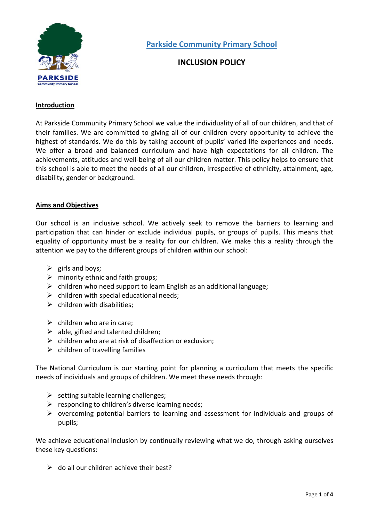

# **INCLUSION POLICY**

# **Introduction**

At Parkside Community Primary School we value the individuality of all of our children, and that of their families. We are committed to giving all of our children every opportunity to achieve the highest of standards. We do this by taking account of pupils' varied life experiences and needs. We offer a broad and balanced curriculum and have high expectations for all children. The achievements, attitudes and well-being of all our children matter. This policy helps to ensure that this school is able to meet the needs of all our children, irrespective of ethnicity, attainment, age, disability, gender or background.

## **Aims and Objectives**

Our school is an inclusive school. We actively seek to remove the barriers to learning and participation that can hinder or exclude individual pupils, or groups of pupils. This means that equality of opportunity must be a reality for our children. We make this a reality through the attention we pay to the different groups of children within our school:

- $\triangleright$  girls and boys;
- $\triangleright$  minority ethnic and faith groups;
- $\triangleright$  children who need support to learn English as an additional language;
- $\triangleright$  children with special educational needs;
- $\triangleright$  children with disabilities;
- $\triangleright$  children who are in care:
- $\triangleright$  able, gifted and talented children;
- $\triangleright$  children who are at risk of disaffection or exclusion;
- $\triangleright$  children of travelling families

The National Curriculum is our starting point for planning a curriculum that meets the specific needs of individuals and groups of children. We meet these needs through:

- $\triangleright$  setting suitable learning challenges;
- $\triangleright$  responding to children's diverse learning needs;
- $\triangleright$  overcoming potential barriers to learning and assessment for individuals and groups of pupils;

We achieve educational inclusion by continually reviewing what we do, through asking ourselves these key questions:

 $\triangleright$  do all our children achieve their best?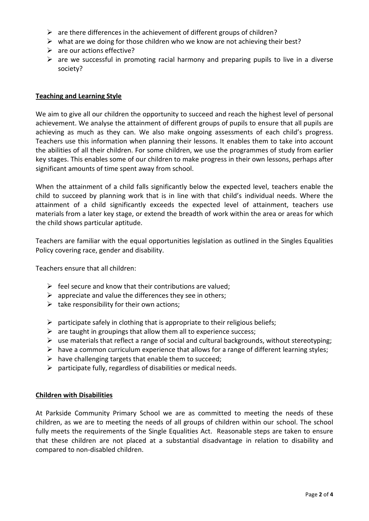- $\triangleright$  are there differences in the achievement of different groups of children?
- $\triangleright$  what are we doing for those children who we know are not achieving their best?
- $\triangleright$  are our actions effective?
- $\triangleright$  are we successful in promoting racial harmony and preparing pupils to live in a diverse society?

## **Teaching and Learning Style**

We aim to give all our children the opportunity to succeed and reach the highest level of personal achievement. We analyse the attainment of different groups of pupils to ensure that all pupils are achieving as much as they can. We also make ongoing assessments of each child's progress. Teachers use this information when planning their lessons. It enables them to take into account the abilities of all their children. For some children, we use the programmes of study from earlier key stages. This enables some of our children to make progress in their own lessons, perhaps after significant amounts of time spent away from school.

When the attainment of a child falls significantly below the expected level, teachers enable the child to succeed by planning work that is in line with that child's individual needs. Where the attainment of a child significantly exceeds the expected level of attainment, teachers use materials from a later key stage, or extend the breadth of work within the area or areas for which the child shows particular aptitude.

Teachers are familiar with the equal opportunities legislation as outlined in the Singles Equalities Policy covering race, gender and disability.

Teachers ensure that all children:

- $\triangleright$  feel secure and know that their contributions are valued:
- $\triangleright$  appreciate and value the differences they see in others;
- $\triangleright$  take responsibility for their own actions;
- $\triangleright$  participate safely in clothing that is appropriate to their religious beliefs;
- $\triangleright$  are taught in groupings that allow them all to experience success;
- $\triangleright$  use materials that reflect a range of social and cultural backgrounds, without stereotyping;
- $\triangleright$  have a common curriculum experience that allows for a range of different learning styles;
- $\triangleright$  have challenging targets that enable them to succeed;
- $\triangleright$  participate fully, regardless of disabilities or medical needs.

#### **Children with Disabilities**

At Parkside Community Primary School we are as committed to meeting the needs of these children, as we are to meeting the needs of all groups of children within our school. The school fully meets the requirements of the Single Equalities Act. Reasonable steps are taken to ensure that these children are not placed at a substantial disadvantage in relation to disability and compared to non-disabled children.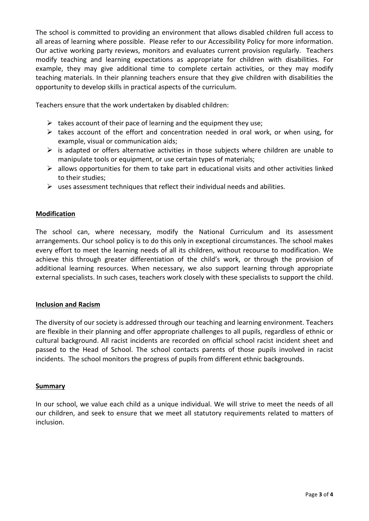The school is committed to providing an environment that allows disabled children full access to all areas of learning where possible. Please refer to our Accessibility Policy for more information. Our active working party reviews, monitors and evaluates current provision regularly. Teachers modify teaching and learning expectations as appropriate for children with disabilities. For example, they may give additional time to complete certain activities, or they may modify teaching materials. In their planning teachers ensure that they give children with disabilities the opportunity to develop skills in practical aspects of the curriculum.

Teachers ensure that the work undertaken by disabled children:

- $\triangleright$  takes account of their pace of learning and the equipment they use;
- $\triangleright$  takes account of the effort and concentration needed in oral work, or when using, for example, visual or communication aids;
- $\triangleright$  is adapted or offers alternative activities in those subjects where children are unable to manipulate tools or equipment, or use certain types of materials;
- $\triangleright$  allows opportunities for them to take part in educational visits and other activities linked to their studies;
- $\triangleright$  uses assessment techniques that reflect their individual needs and abilities.

#### **Modification**

The school can, where necessary, modify the National Curriculum and its assessment arrangements. Our school policy is to do this only in exceptional circumstances. The school makes every effort to meet the learning needs of all its children, without recourse to modification. We achieve this through greater differentiation of the child's work, or through the provision of additional learning resources. When necessary, we also support learning through appropriate external specialists. In such cases, teachers work closely with these specialists to support the child.

#### **Inclusion and Racism**

The diversity of our society is addressed through our teaching and learning environment. Teachers are flexible in their planning and offer appropriate challenges to all pupils, regardless of ethnic or cultural background. All racist incidents are recorded on official school racist incident sheet and passed to the Head of School. The school contacts parents of those pupils involved in racist incidents. The school monitors the progress of pupils from different ethnic backgrounds.

#### **Summary**

In our school, we value each child as a unique individual. We will strive to meet the needs of all our children, and seek to ensure that we meet all statutory requirements related to matters of inclusion.